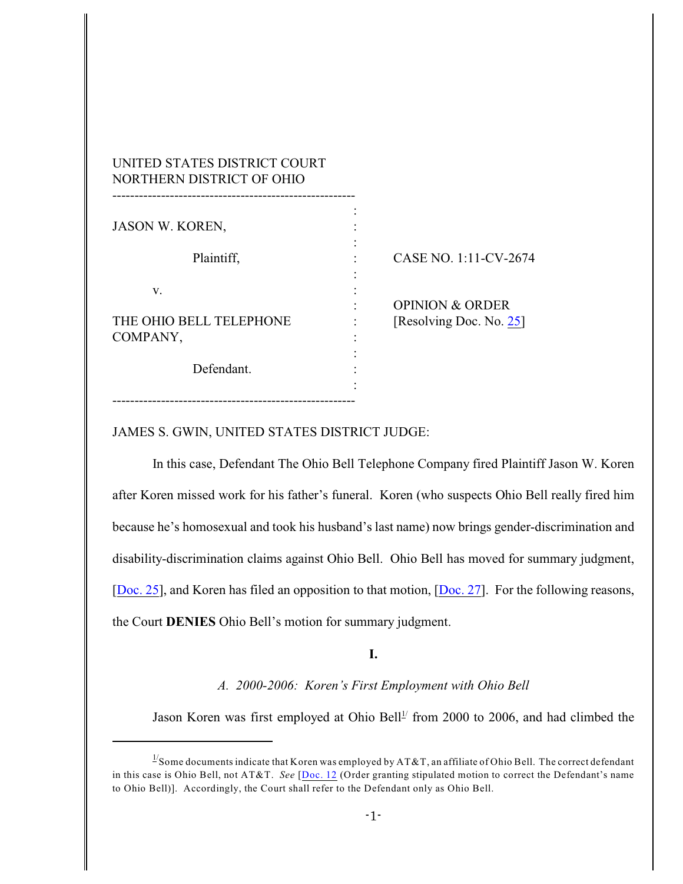| UNITED STATES DISTRICT COURT<br>NORTHERN DISTRICT OF OHIO |                            |
|-----------------------------------------------------------|----------------------------|
| JASON W. KOREN,                                           |                            |
| Plaintiff,                                                | CASE NO. 1:11-CV-2674      |
| v.                                                        | <b>OPINION &amp; ORDER</b> |
| THE OHIO BELL TELEPHONE<br>COMPANY,                       | [Resolving Doc. No. 25]    |
| Defendant.                                                |                            |
|                                                           |                            |

# JAMES S. GWIN, UNITED STATES DISTRICT JUDGE:

In this case, Defendant The Ohio Bell Telephone Company fired Plaintiff Jason W. Koren after Koren missed work for his father's funeral. Koren (who suspects Ohio Bell really fired him because he's homosexual and took his husband's last name) now brings gender-discrimination and disability-discrimination claims against Ohio Bell. Ohio Bell has moved for summary judgment, [\[Doc. 25](https://ecf.ohnd.uscourts.gov/doc1/14116230912)], and Koren has filed an opposition to that motion, [\[Doc. 27](https://ecf.ohnd.uscourts.gov/doc1/14116270419)]. For the following reasons, the Court **DENIES** Ohio Bell's motion for summary judgment.

**I.**

*A. 2000-2006: Koren's First Employment with Ohio Bell*

Jason Koren was first employed at Ohio Bell<sup> $1/1$ </sup> from 2000 to 2006, and had climbed the

 $\frac{1}{2}$ Some documents indicate that Koren was employed by AT&T, an affiliate of Ohio Bell. The correct defendant in this case is Ohio Bell, not AT&T. *See* [\[Doc. 12](https://ecf.ohnd.uscourts.gov/doc1/14116029775) (Order granting stipulated motion to correct the Defendant's name to Ohio Bell)]. Accordingly, the Court shall refer to the Defendant only as Ohio Bell.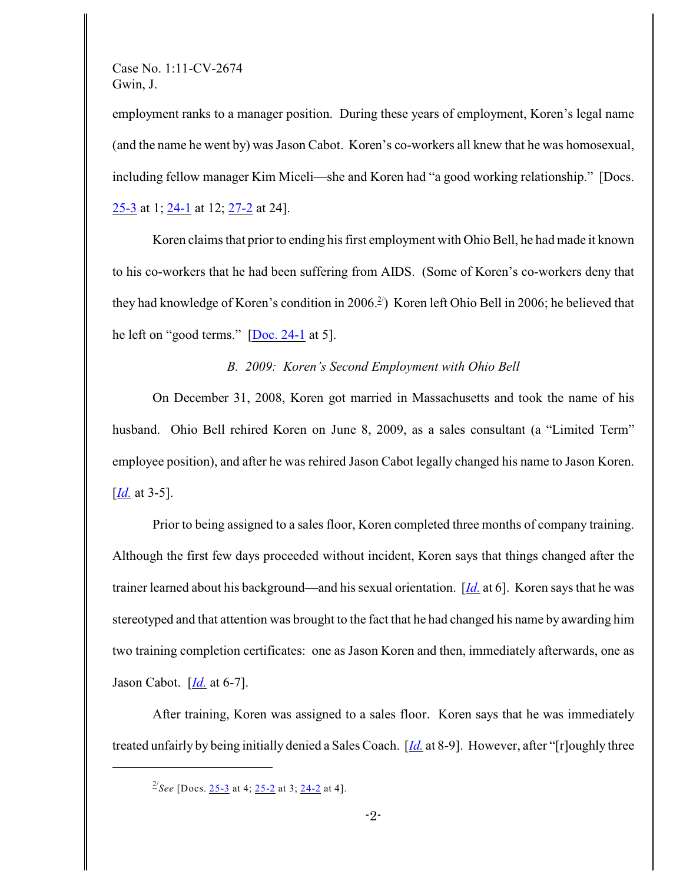employment ranks to a manager position. During these years of employment, Koren's legal name (and the name he went by) was Jason Cabot. Koren's co-workers all knew that he was homosexual, including fellow manager Kim Miceli—she and Koren had "a good working relationship." [Docs. [25-3](https://ecf.ohnd.uscourts.gov/doc1/14116230915) at 1; [24-1](https://ecf.ohnd.uscourts.gov/doc1/14116230895) at 12; [27-2](https://ecf.ohnd.uscourts.gov/doc1/14116270421) at 24].

Koren claims that prior to ending his first employment with Ohio Bell, he had made it known to his co-workers that he had been suffering from AIDS. (Some of Koren's co-workers deny that they had knowledge of Koren's condition in 2006.<sup>2</sup>) Koren left Ohio Bell in 2006; he believed that he left on "good terms." [\[Doc. 24-1](https://ecf.ohnd.uscourts.gov/doc1/14116230895) at 5].

*B. 2009: Koren's Second Employment with Ohio Bell*

On December 31, 2008, Koren got married in Massachusetts and took the name of his husband. Ohio Bell rehired Koren on June 8, 2009, as a sales consultant (a "Limited Term" employee position), and after he was rehired Jason Cabot legally changed his name to Jason Koren. [*[Id.](https://ecf.ohnd.uscourts.gov/doc1/14116230895)* at 3-5].

Prior to being assigned to a sales floor, Koren completed three months of company training. Although the first few days proceeded without incident, Koren says that things changed after the trainer learned about his background—and his sexual orientation. [*[Id.](https://ecf.ohnd.uscourts.gov/doc1/14116230895)* at 6]. Koren says that he was stereotyped and that attention was brought to the fact that he had changed his name by awarding him two training completion certificates: one as Jason Koren and then, immediately afterwards, one as Jason Cabot. [*[Id.](https://ecf.ohnd.uscourts.gov/doc1/14116230895)* at 6-7].

After training, Koren was assigned to a sales floor. Koren says that he was immediately treated unfairly by being initially denied a Sales Coach. [*[Id.](https://ecf.ohnd.uscourts.gov/doc1/14116230895)* at 8-9]. However, after "[r]oughly three

<sup>&</sup>lt;sup>2/</sup>See [Docs. [25-3](https://ecf.ohnd.uscourts.gov/doc1/14116230915) at 4; [25-2](https://ecf.ohnd.uscourts.gov/doc1/14116230914) at 3; [24-2](https://ecf.ohnd.uscourts.gov/doc1/14116230896) at 4].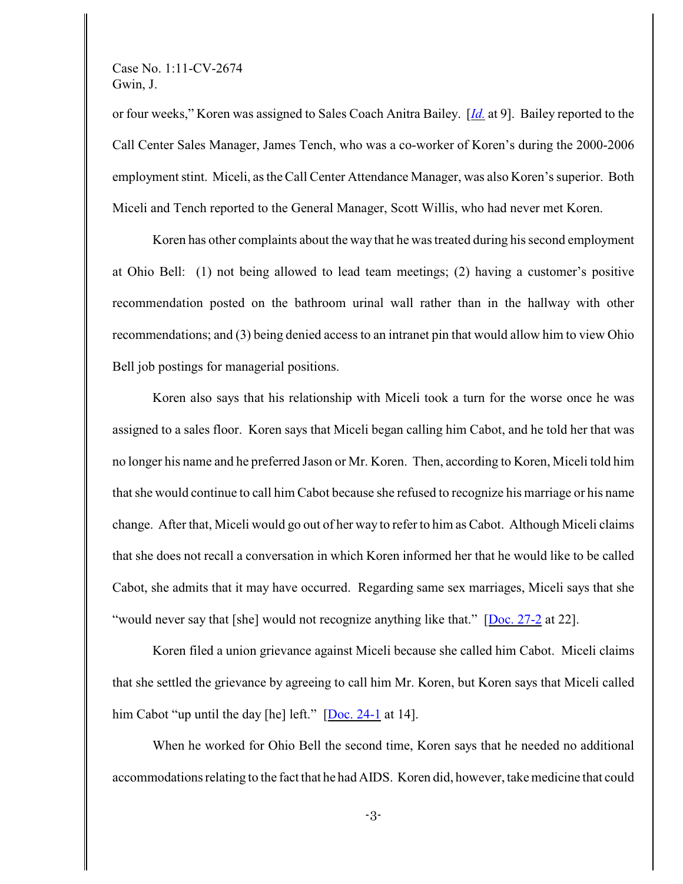or four weeks," Koren was assigned to Sales Coach Anitra Bailey. [*[Id.](https://ecf.ohnd.uscourts.gov/doc1/14116230895)* at 9]. Bailey reported to the Call Center Sales Manager, James Tench, who was a co-worker of Koren's during the 2000-2006 employment stint. Miceli, as theCall Center Attendance Manager, was also Koren's superior. Both Miceli and Tench reported to the General Manager, Scott Willis, who had never met Koren.

Koren has other complaints about the way that he was treated during his second employment at Ohio Bell: (1) not being allowed to lead team meetings; (2) having a customer's positive recommendation posted on the bathroom urinal wall rather than in the hallway with other recommendations; and (3) being denied access to an intranet pin that would allow him to view Ohio Bell job postings for managerial positions.

Koren also says that his relationship with Miceli took a turn for the worse once he was assigned to a sales floor. Koren says that Miceli began calling him Cabot, and he told her that was no longer his name and he preferred Jason or Mr. Koren. Then, according to Koren, Miceli told him that she would continue to call him Cabot because she refused to recognize his marriage or his name change. After that, Miceli would go out of her way to refer to him as Cabot. Although Miceli claims that she does not recall a conversation in which Koren informed her that he would like to be called Cabot, she admits that it may have occurred. Regarding same sex marriages, Miceli says that she "would never say that [she] would not recognize anything like that." [[Doc. 27-2](https://ecf.ohnd.uscourts.gov/doc1/14116270421) at 22].

Koren filed a union grievance against Miceli because she called him Cabot. Miceli claims that she settled the grievance by agreeing to call him Mr. Koren, but Koren says that Miceli called him Cabot "up until the day [he] left." [\[Doc. 24-1](https://ecf.ohnd.uscourts.gov/doc1/14116230895) at 14].

When he worked for Ohio Bell the second time, Koren says that he needed no additional accommodations relating to the fact that he had AIDS. Koren did, however, take medicine that could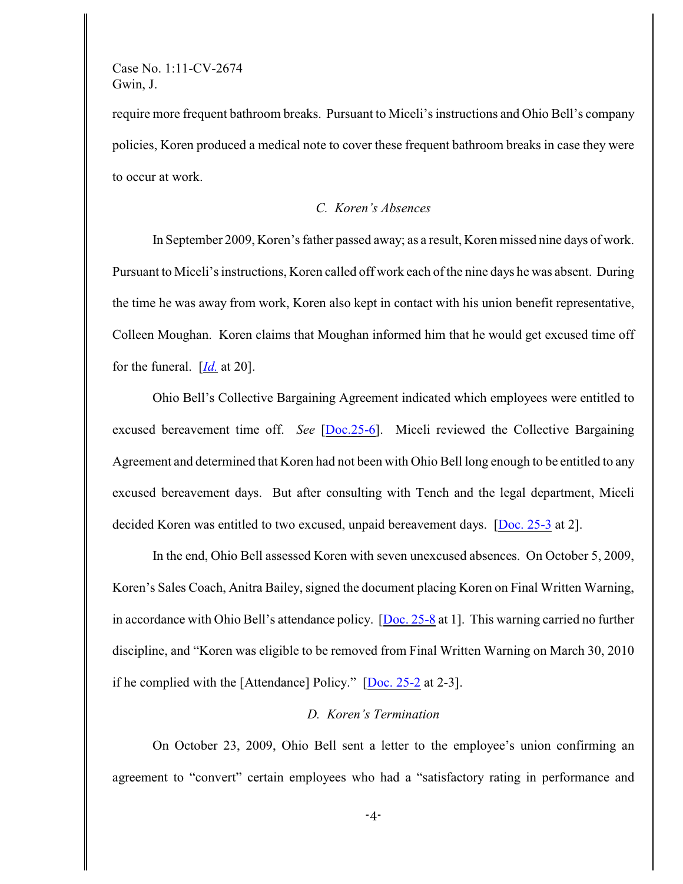require more frequent bathroom breaks. Pursuant to Miceli's instructions and Ohio Bell's company policies, Koren produced a medical note to cover these frequent bathroom breaks in case they were to occur at work.

# *C. Koren's Absences*

In September 2009, Koren's father passed away; as a result, Koren missed nine days of work. Pursuant to Miceli's instructions, Koren called off work each of the nine days he was absent. During the time he was away from work, Koren also kept in contact with his union benefit representative, Colleen Moughan. Koren claims that Moughan informed him that he would get excused time off for the funeral. [*[Id.](https://ecf.ohnd.uscourts.gov/doc1/14116230895)* at 20].

Ohio Bell's Collective Bargaining Agreement indicated which employees were entitled to excused bereavement time off. *See* [\[Doc.25-6](https://ecf.ohnd.uscourts.gov/doc1/14116230918)]. Miceli reviewed the Collective Bargaining Agreement and determined that Koren had not been with Ohio Bell long enough to be entitled to any excused bereavement days. But after consulting with Tench and the legal department, Miceli decided Koren was entitled to two excused, unpaid bereavement days. [\[Doc. 25-3](https://ecf.ohnd.uscourts.gov/doc1/14116230915) at 2].

In the end, Ohio Bell assessed Koren with seven unexcused absences. On October 5, 2009, Koren's Sales Coach, Anitra Bailey, signed the document placing Koren on Final Written Warning, in accordance with Ohio Bell's attendance policy. [\[Doc. 25-8](https://ecf.ohnd.uscourts.gov/doc1/14116230920) at 1]. This warning carried no further discipline, and "Koren was eligible to be removed from Final Written Warning on March 30, 2010 if he complied with the [Attendance] Policy." [\[Doc. 25-2](https://ecf.ohnd.uscourts.gov/doc1/14116230914) at 2-3].

# *D. Koren's Termination*

On October 23, 2009, Ohio Bell sent a letter to the employee's union confirming an agreement to "convert" certain employees who had a "satisfactory rating in performance and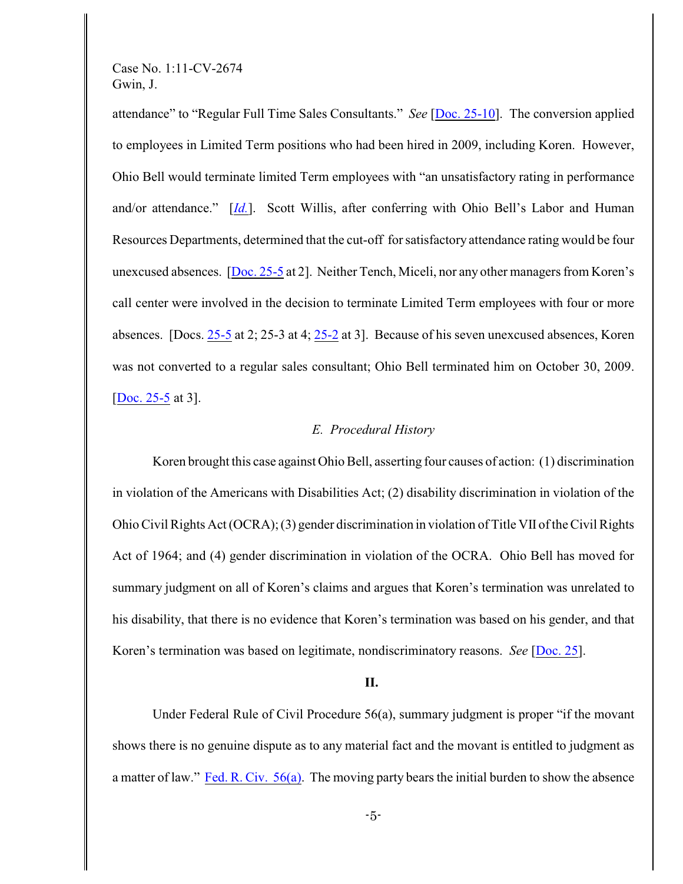attendance" to "Regular Full Time Sales Consultants." *See* [\[Doc. 25-10](https://ecf.ohnd.uscourts.gov/doc1/14116230922)]. The conversion applied to employees in Limited Term positions who had been hired in 2009, including Koren. However, Ohio Bell would terminate limited Term employees with "an unsatisfactory rating in performance and/or attendance." [*[Id.](https://ecf.ohnd.uscourts.gov/doc1/14116230922)*]. Scott Willis, after conferring with Ohio Bell's Labor and Human Resources Departments, determined that the cut-off for satisfactory attendance rating would be four unexcused absences. [\[Doc. 25-5](https://ecf.ohnd.uscourts.gov/doc1/14116230917) at 2]. Neither Tench, Miceli, nor any other managers from Koren's call center were involved in the decision to terminate Limited Term employees with four or more absences. [Docs. [25-5](https://ecf.ohnd.uscourts.gov/doc1/14116230917) at 2; 25-3 at 4; [25-2](https://ecf.ohnd.uscourts.gov/doc1/14116230914) at 3]. Because of his seven unexcused absences, Koren was not converted to a regular sales consultant; Ohio Bell terminated him on October 30, 2009. [\[Doc. 25-5](https://ecf.ohnd.uscourts.gov/doc1/14116230917) at 3].

### *E. Procedural History*

Koren brought this case against Ohio Bell, asserting four causes of action: (1) discrimination in violation of the Americans with Disabilities Act; (2) disability discrimination in violation of the Ohio Civil Rights Act (OCRA);(3) gender discrimination in violation of Title VII of the Civil Rights Act of 1964; and (4) gender discrimination in violation of the OCRA. Ohio Bell has moved for summary judgment on all of Koren's claims and argues that Koren's termination was unrelated to his disability, that there is no evidence that Koren's termination was based on his gender, and that Koren's termination was based on legitimate, nondiscriminatory reasons. *See* [\[Doc. 25](https://ecf.ohnd.uscourts.gov/doc1/14106230912)].

#### **II.**

Under Federal Rule of Civil Procedure 56(a), summary judgment is proper "if the movant shows there is no genuine dispute as to any material fact and the movant is entitled to judgment as a matter of law." [Fed. R. Civ. 56\(a\)](https://web2.westlaw.com/find/default.wl?tc=-1&docname=USFRCPR56&rp=%2ffind%2fdefault.wl&sv=Split&utid=2&rs=WLW11.07&db=1004365&tf=-1&findtype=L&fn=_top&mt=LawSchoolPractitioner&vr=2.0&pbc=B800D908&ordoc=2025529575). The moving party bears the initial burden to show the absence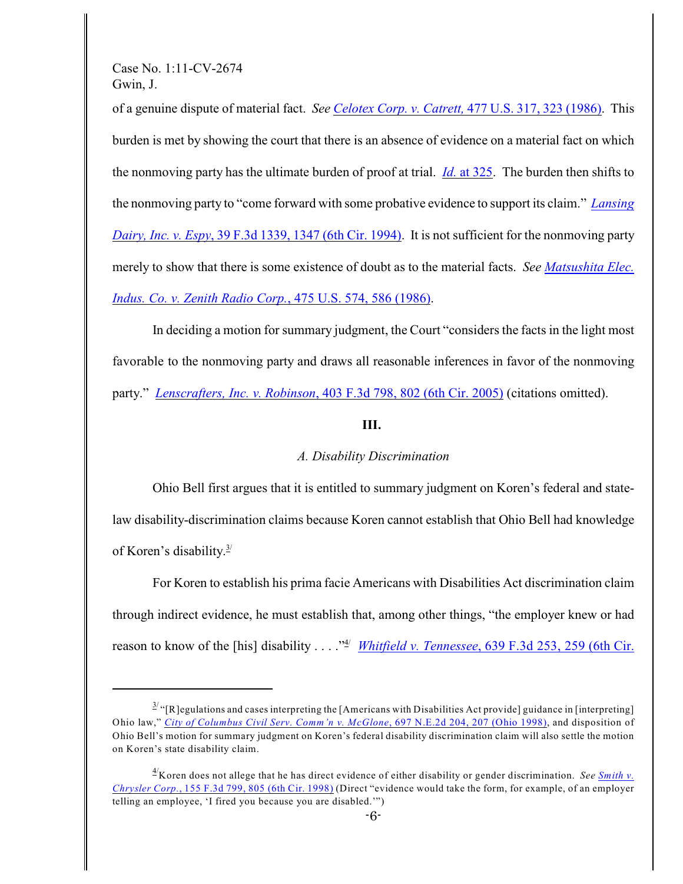of a genuine dispute of material fact. *See [Celotex Corp. v. Catrett,](http://www.westlaw.com/find/default.wl?rs=CLWP3.0&vr=2.0&cite=477+U.S.+317)* 477 U.S. 317, 323 (1986). This burden is met by showing the court that there is an absence of evidence on a material fact on which the nonmoving party has the ultimate burden of proof at trial. *Id.* [at 325](http://www.westlaw.com/find/default.wl?rs=CLWP3.0&vr=2.0&cite=477+U.S.+323). The burden then shifts to the nonmoving party to "come forward with some probative evidence to support its claim." *[Lansing](https://web2.westlaw.com/find/default.wl?rp=%2ffind%2fdefault.wl&sv=Split&utid=2&rs=WLW11.07&cite=39+F.3d+1339&fn=_top&mt=LawSchoolPractitioner&vr=2.0&pbc=B800D908) Dairy, Inc. v. Espy*[, 39 F.3d 1339, 1347 \(6th Cir. 1994\)](https://web2.westlaw.com/find/default.wl?rp=%2ffind%2fdefault.wl&sv=Split&utid=2&rs=WLW11.07&cite=39+F.3d+1339&fn=_top&mt=LawSchoolPractitioner&vr=2.0&pbc=B800D908). It is not sufficient for the nonmoving party merely to show that there is some existence of doubt as to the material facts. *See [Matsushita Elec.](https://web2.westlaw.com/find/default.wl?rp=%2ffind%2fdefault.wl&sv=Split&utid=2&rs=WLW11.07&cite=475+U.S.+574&fn=_top&mt=LawSchoolPractitioner&vr=2.0&pbc=B800D908) [Indus. Co. v. Zenith Radio Corp.](https://web2.westlaw.com/find/default.wl?rp=%2ffind%2fdefault.wl&sv=Split&utid=2&rs=WLW11.07&cite=475+U.S.+574&fn=_top&mt=LawSchoolPractitioner&vr=2.0&pbc=B800D908)*, 475 U.S. 574, 586 (1986).

In deciding a motion for summary judgment, the Court "considers the facts in the light most favorable to the nonmoving party and draws all reasonable inferences in favor of the nonmoving party." *Lenscrafters, Inc. v. Robinson*[, 403 F.3d 798, 802 \(6th Cir. 2005\)](https://web2.westlaw.com/find/default.wl?rp=%2ffind%2fdefault.wl&sv=Split&utid=2&rs=WLW11.07&cite=403+F.3d+798&fn=_top&mt=LawSchoolPractitioner&vr=2.0&pbc=B800D908) (citations omitted).

### **III.**

# *A. Disability Discrimination*

Ohio Bell first argues that it is entitled to summary judgment on Koren's federal and statelaw disability-discrimination claims because Koren cannot establish that Ohio Bell had knowledge of Koren's disability. $3/$ 

For Koren to establish his prima facie Americans with Disabilities Act discrimination claim through indirect evidence, he must establish that, among other things, "the employer knew or had reason to know of the [his] disability . . . .<sup>\*\*</sup>/ *[Whitfield v. Tennessee](https://a.next.westlaw.com/Document/I81cd77c956c411e0b63e897ab6fa6920/View/FullText.html?navigationPath=%2FRelatedInfo%2Fv4%2Fkeycite%2Fnav%2F%3Fguid%3DI81cd77c956c411e0b63e897ab6fa6920%26orgGuid%3DI6a44cba3933a11d993e6d35cc61aab4a%26category%3DCitingRef)*, 639 F.3d 253, 259 (6th Cir.

 $\frac{3}{2}$  "[R]egulations and cases interpreting the [Americans with Disabilities Act provide] guidance in [interpreting] Ohio law," *[City of Columbus Civil Serv. Comm'n v. McGlone](https://a.next.westlaw.com/Document/I054c8a27d3af11d99439b076ef9ec4de/View/FullText.html?transitionType=UniqueDocItem&contextData=(sc.Keycite)#co_tempAnchor)*, 697 N.E.2d 204, 207 (Ohio 1998), and disposition of Ohio Bell's motion for summary judgment on Koren's federal disability discrimination claim will also settle the motion on Koren's state disability claim.

<sup>&</sup>lt;sup>4</sup>Koren does not allege that he has direct evidence of either disability or gender discrimination. *See [Smith v.](https://a.next.westlaw.com/Link/Document/FullText?findType=Y&serNum=1998190344&pubNum=506&originationContext=document&transitionType=DocumentItem&contextData=(sc.Search)#co_pp_sp_506_805) Chrysler Corp.*[, 155 F.3d 799, 805 \(6th Cir. 1998\)](https://a.next.westlaw.com/Link/Document/FullText?findType=Y&serNum=1998190344&pubNum=506&originationContext=document&transitionType=DocumentItem&contextData=(sc.Search)#co_pp_sp_506_805) (Direct "evidence would take the form, for example, of an employer telling an employee, 'I fired you because you are disabled.'")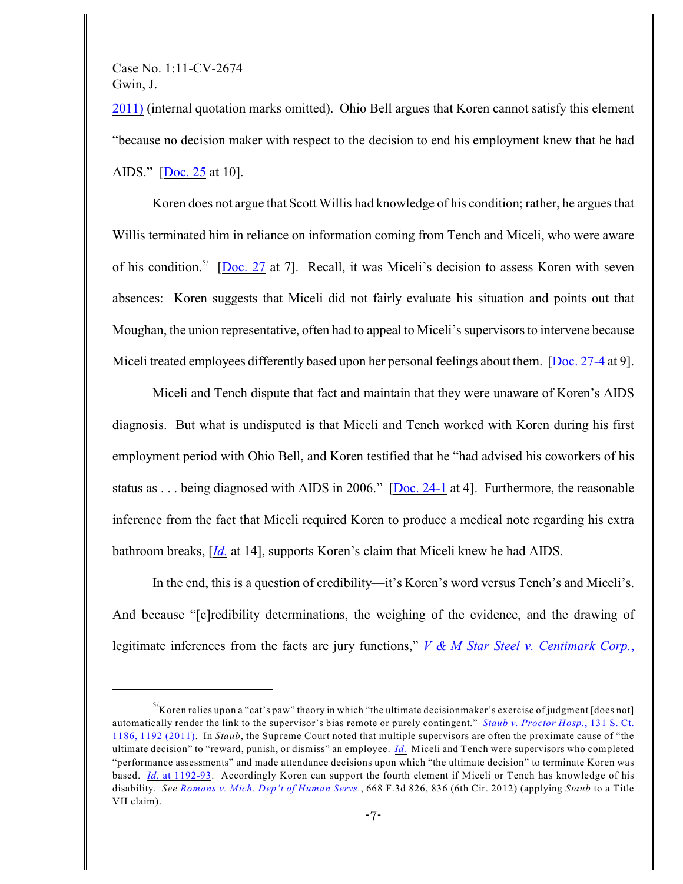2011) (internal quotation marks omitted). Ohio Bell argues that Koren cannot satisfy this element "because no decision maker with respect to the decision to end his employment knew that he had AIDS." [\[Doc. 25](https://ecf.ohnd.uscourts.gov/doc1/14116230912) at 10].

Koren does not argue that Scott Willis had knowledge of his condition; rather, he argues that Willis terminated him in reliance on information coming from Tench and Miceli, who were aware of his condition.<sup>5/</sup> [[Doc. 27](https://ecf.ohnd.uscourts.gov/doc1/14116270419) at 7]. Recall, it was Miceli's decision to assess Koren with seven absences: Koren suggests that Miceli did not fairly evaluate his situation and points out that Moughan, the union representative, often had to appeal to Miceli's supervisors to intervene because Miceli treated employees differently based upon her personal feelings about them. [\[Doc. 27-4](https://ecf.ohnd.uscourts.gov/doc1/14116270423) at 9].

Miceli and Tench dispute that fact and maintain that they were unaware of Koren's AIDS diagnosis. But what is undisputed is that Miceli and Tench worked with Koren during his first employment period with Ohio Bell, and Koren testified that he "had advised his coworkers of his status as . . . being diagnosed with AIDS in 2006." [\[Doc. 24-1](https://ecf.ohnd.uscourts.gov/doc1/14116230895) at 4]. Furthermore, the reasonable inference from the fact that Miceli required Koren to produce a medical note regarding his extra bathroom breaks, [*[Id.](https://ecf.ohnd.uscourts.gov/doc1/14116230895)* at 14], supports Koren's claim that Miceli knew he had AIDS.

In the end, this is a question of credibility—it's Koren's word versus Tench's and Miceli's. And because "[c]redibility determinations, the weighing of the evidence, and the drawing of legitimate inferences from the facts are jury functions," *[V & M Star Steel v. Centimark Corp.](http://web2.westlaw.com/find/default.wl?cite=678+F.3d+459&rs=WLW12.07&pbc=010C0CEF&vr=2.0&rp=%2ffind%2fdefault.wl&sv=Split&fn=_top&mt=Westlaw)*,

 $\frac{5}{2}$ Koren relies upon a "cat's paw" theory in which "the ultimate decisionmaker's exercise of judgment [does not] automatically render the link to the supervisor's bias remote or purely contingent." *[Staub v. Proctor Hosp.](https://a.next.westlaw.com/Document/I3d987f50440e11e0ac6aa914c1fd1d3f/View/FullText.html?transitionType=UniqueDocItem&contextData=(sc.UserEnteredCitation)#co_pp_sp_708_1192)*, 131 S. Ct. [1186, 1192 \(2011\)](https://a.next.westlaw.com/Document/I3d987f50440e11e0ac6aa914c1fd1d3f/View/FullText.html?transitionType=UniqueDocItem&contextData=(sc.UserEnteredCitation)#co_pp_sp_708_1192). In *Staub*, the Supreme Court noted that multiple supervisors are often the proximate cause of "the ultimate decision" to "reward, punish, or dismiss" an employee. *[Id.](https://a.next.westlaw.com/Document/I3d987f50440e11e0ac6aa914c1fd1d3f/View/FullText.html?transitionType=UniqueDocItem&contextData=(sc.UserEnteredCitation)#co_pp_sp_708_1192)* Miceli and Tench were supervisors who completed "performance assessments" and made attendance decisions upon which "the ultimate decision" to terminate Koren was based. *Id.* [at 1192-93](https://a.next.westlaw.com/Document/I3d987f50440e11e0ac6aa914c1fd1d3f/View/FullText.html?transitionType=UniqueDocItem&contextData=(sc.UserEnteredCitation)#co_pp_sp_708_1192). Accordingly Koren can support the fourth element if Miceli or Tench has knowledge of his disability. *See [Romans v. Mich. Dep't of Human Servs.](http://web2.westlaw.com/find/default.wl?cite=668+f3d+826&rs=WLW12.07&pbc=010C0CEF&vr=2.0&rp=%2ffind%2fdefault.wl&sv=Split&fn=_top&mt=Westlaw)*, 668 F.3d 826, 836 (6th Cir. 2012) (applying *Staub* to a Title VII claim).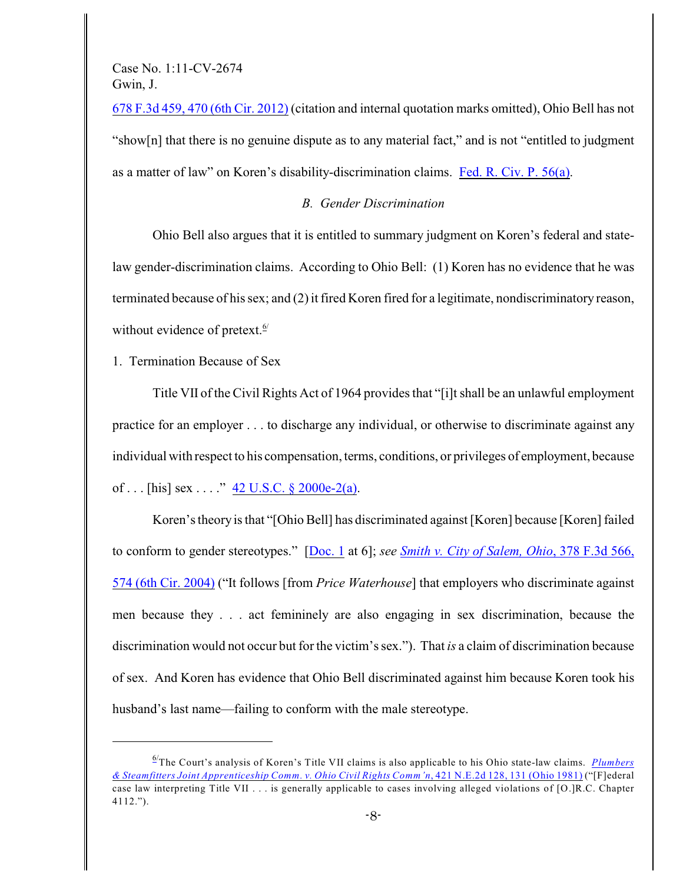678 F.3d 459, 470 (6th Cir. 2012) (citation and internal quotation marks omitted), Ohio Bell has not "show[n] that there is no genuine dispute as to any material fact," and is not "entitled to judgment as a matter of law" on Koren's disability-discrimination claims. [Fed. R. Civ. P. 56\(a\)](http://web2.westlaw.com/find/default.wl?cite=frcp+56&rs=WLW12.07&pbc=010C0CEF&vr=2.0&rp=%2ffind%2fdefault.wl&sv=Split&fn=_top&mt=Westlaw).

### *B. Gender Discrimination*

Ohio Bell also argues that it is entitled to summary judgment on Koren's federal and statelaw gender-discrimination claims. According to Ohio Bell: (1) Koren has no evidence that he was terminated because of his sex; and (2) it fired Koren fired for a legitimate, nondiscriminatory reason, without evidence of pretext.<sup>6/</sup>

1. Termination Because of Sex

Title VII of the Civil Rights Act of 1964 provides that "[i]t shall be an unlawful employment practice for an employer . . . to discharge any individual, or otherwise to discriminate against any individual with respect to his compensation, terms, conditions, or privileges of employment, because of ... [his] sex ...."  $42 \text{ U.S.C.}$  §  $2000e-2(a)$ .

Koren's theory is that "[Ohio Bell] has discriminated against [Koren] because [Koren] failed to conform to gender stereotypes." [\[Doc. 1](https://ecf.ohnd.uscourts.gov/doc1/14105921090) at 6]; *see [Smith v. City of Salem, Ohio](https://a.next.westlaw.com/Document/Ibfaf1f1f8ba511d9af17b5c9441c4c47/View/FullText.html?transitionType=UniqueDocItem&contextData=(sc.UserEnteredCitation))*, 378 F.3d 566, [574 \(6th Cir. 2004\)](https://a.next.westlaw.com/Document/Ibfaf1f1f8ba511d9af17b5c9441c4c47/View/FullText.html?transitionType=UniqueDocItem&contextData=(sc.UserEnteredCitation)) ("It follows [from *Price Waterhouse*] that employers who discriminate against men because they . . . act femininely are also engaging in sex discrimination, because the discrimination would not occur but for the victim's sex."). That *is* a claim of discrimination because of sex. And Koren has evidence that Ohio Bell discriminated against him because Koren took his husband's last name—failing to conform with the male stereotype.

The Court's analysis of Koren's Title VII claims is also applicable to his Ohio state-law claims. 6/ *[Plumbers](https://a.next.westlaw.com/Document/Ia16dde62d38a11d9a489ee624f1f6e1a/View/FullText.html?transitionType=UniqueDocItem&contextData=(sc.Search)) [& Steamfitters Joint Apprenticeship Comm. v. Ohio Civil Rights Comm'n](https://a.next.westlaw.com/Document/Ia16dde62d38a11d9a489ee624f1f6e1a/View/FullText.html?transitionType=UniqueDocItem&contextData=(sc.Search))*, 421 N.E.2d 128, 131 (Ohio 1981) ("[F]ederal case law interpreting Title VII . . . is generally applicable to cases involving alleged violations of [O.]R.C. Chapter 4112.").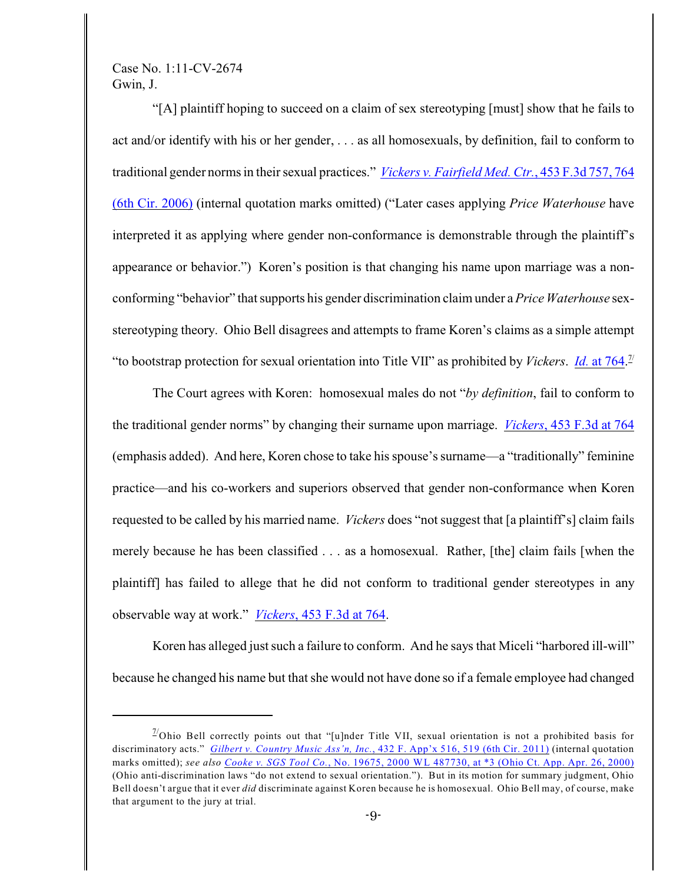"[A] plaintiff hoping to succeed on a claim of sex stereotyping [must] show that he fails to act and/or identify with his or her gender, . . . as all homosexuals, by definition, fail to conform to traditional gender norms in their sexual practices." *[Vickers v. Fairfield Med. Ctr.](https://a.next.westlaw.com/Document/Ib0be9b21174711db9e95e5807854212c/View/FullText.html?transitionType=UniqueDocItem&contextData=(sc.UserEnteredCitation)#co_pp_sp_506_764)*, 453 F.3d 757, 764 [\(6th Cir. 2006\)](https://a.next.westlaw.com/Document/Ib0be9b21174711db9e95e5807854212c/View/FullText.html?transitionType=UniqueDocItem&contextData=(sc.UserEnteredCitation)#co_pp_sp_506_764) (internal quotation marks omitted) ("Later cases applying *Price Waterhouse* have interpreted it as applying where gender non-conformance is demonstrable through the plaintiff's appearance or behavior.") Koren's position is that changing his name upon marriage was a nonconforming "behavior" that supports his gender discrimination claim under a*Price Waterhouse* sexstereotyping theory. Ohio Bell disagrees and attempts to frame Koren's claims as a simple attempt "to bootstrap protection for sexual orientation into Title VII" as prohibited by *Vickers*. *Id.* [at 764](https://a.next.westlaw.com/Document/Ib0be9b21174711db9e95e5807854212c/View/FullText.html?transitionType=UniqueDocItem&contextData=(sc.UserEnteredCitation)#co_pp_sp_506_763). 7/

The Court agrees with Koren: homosexual males do not "*by definition*, fail to conform to the traditional gender norms" by changing their surname upon marriage. *Vickers*[, 453 F.3d at 764](https://a.next.westlaw.com/Document/Ib0be9b21174711db9e95e5807854212c/View/FullText.html?transitionType=UniqueDocItem&contextData=(sc.UserEnteredCitation)#co_pp_sp_506_763) (emphasis added). And here, Koren chose to take his spouse's surname—a "traditionally" feminine practice—and his co-workers and superiors observed that gender non-conformance when Koren requested to be called by his married name. *Vickers* does "not suggest that [a plaintiff's] claim fails merely because he has been classified . . . as a homosexual. Rather, [the] claim fails [when the plaintiff] has failed to allege that he did not conform to traditional gender stereotypes in any observable way at work." *Vickers*[, 453 F.3d at 764](https://a.next.westlaw.com/Document/Ib0be9b21174711db9e95e5807854212c/View/FullText.html?transitionType=UniqueDocItem&contextData=(sc.UserEnteredCitation)#co_pp_sp_506_763).

Koren has alleged just such a failure to conform. And he says that Miceli "harbored ill-will" because he changed his name but that she would not have done so if a female employee had changed

 $^{77}$ Ohio Bell correctly points out that "[u]nder Title VII, sexual orientation is not a prohibited basis for discriminatory acts." *Gilbert v. Country Music Ass'n, Inc.*[, 432 F. App'x 516, 519 \(6th Cir. 2011\)](http://web2.westlaw.com/find/default.wl?cite=432+F.+App%27x+516&rs=WLW12.07&pbc=F202638B&vr=2.0&rp=%2ffind%2fdefault.wl&sv=Split&fn=_top&mt=Westlaw) (internal quotation marks omitted); *see also Cooke v. SGS Tool Co.*[, No. 19675, 2000 WL 487730, at \\*3 \(Ohio Ct. App. Apr. 26, 2000\)](http://web2.westlaw.com/find/default.wl?cite=2000+WL+487730&rs=WLW12.07&pbc=F202638B&vr=2.0&rp=%2ffind%2fdefault.wl&sv=Split&fn=_top&mt=Westlaw) (Ohio anti-discrimination laws "do not extend to sexual orientation."). But in its motion for summary judgment, Ohio Bell doesn't argue that it ever *did* discriminate against Koren because he is homosexual. Ohio Bell may, of course, make that argument to the jury at trial.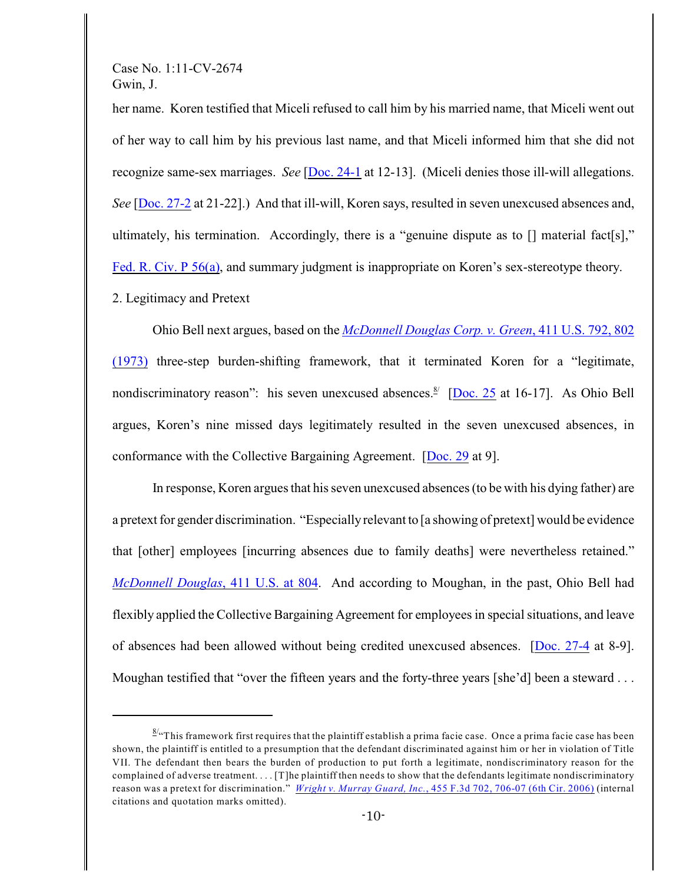her name. Koren testified that Miceli refused to call him by his married name, that Miceli went out of her way to call him by his previous last name, and that Miceli informed him that she did not recognize same-sex marriages. *See* [\[Doc. 24-1](https://ecf.ohnd.uscourts.gov/doc1/14116230895) at 12-13]. (Miceli denies those ill-will allegations. *See* [\[Doc. 27-2](https://ecf.ohnd.uscourts.gov/doc1/14116270421) at 21-22].) And that ill-will, Koren says, resulted in seven unexcused absences and, ultimately, his termination. Accordingly, there is a "genuine dispute as to [] material fact[s]," [Fed. R. Civ. P 56\(a\)](https://a.next.westlaw.com/Document/N1B4C0B30B96A11D8983DF34406B5929B/View/FullText.html?navigationPath=Search%2Fv3%2Fsearch%2Fresults%2Fnavigation%2Fi0ad705250000013895bcaa793aff3643%3FNav%3DMULTIPLECITATIONS%26fragmentIdentifier%3DN1B4C0B30B96A11D8983D), and summary judgment is inappropriate on Koren's sex-stereotype theory.

2. Legitimacy and Pretext

Ohio Bell next argues, based on the *[McDonnell Douglas Corp. v. Green](https://a.next.westlaw.com/Document/Idf0ccea49c9c11d993e6d35cc61aab4a/View/FullText.html?transitionType=UniqueDocItem&contextData=(sc.Search))*, 411 U.S. 792, 802 [\(1973\)](https://a.next.westlaw.com/Document/Idf0ccea49c9c11d993e6d35cc61aab4a/View/FullText.html?transitionType=UniqueDocItem&contextData=(sc.Search)) three-step burden-shifting framework, that it terminated Koren for a "legitimate, nondiscriminatory reason": his seven unexcused absences. $\frac{8}{2}$  [[Doc. 25](https://ecf.ohnd.uscourts.gov/doc1/14116230912) at 16-17]. As Ohio Bell argues, Koren's nine missed days legitimately resulted in the seven unexcused absences, in conformance with the Collective Bargaining Agreement. [\[Doc. 29](https://ecf.ohnd.uscourts.gov/doc1/14116283139) at 9].

In response, Koren argues that his seven unexcused absences (to be with his dying father) are a pretext for gender discrimination. "Especially relevant to [a showing of pretext] would be evidence that [other] employees [incurring absences due to family deaths] were nevertheless retained." *[McDonnell Douglas](https://a.next.westlaw.com/Document/Idf0ccea49c9c11d993e6d35cc61aab4a/View/FullText.html?transitionType=UniqueDocItem&contextData=(sc.Search))*, 411 U.S. at 804. And according to Moughan, in the past, Ohio Bell had flexibly applied the Collective Bargaining Agreement for employees in special situations, and leave of absences had been allowed without being credited unexcused absences. [\[Doc. 27-4](https://ecf.ohnd.uscourts.gov/doc1/14116270423) at 8-9]. Moughan testified that "over the fifteen years and the forty-three years [she'd] been a steward . . .

 $\frac{8}{x}$ This framework first requires that the plaintiff establish a prima facie case. Once a prima facie case has been shown, the plaintiff is entitled to a presumption that the defendant discriminated against him or her in violation of Title VII. The defendant then bears the burden of production to put forth a legitimate, nondiscriminatory reason for the complained of adverse treatment. . . . [T]he plaintiff then needs to show that the defendants legitimate nondiscriminatory reason was a pretext for discrimination." *Wright v. Murray Guard, Inc.*[, 455 F.3d 702, 706-07 \(6th Cir. 2006\)](https://a.next.westlaw.com/Document/I2435237e1ca711db8ac4e022126eafc3/View/FullText.html?transitionType=UniqueDocItem&contextData=(sc.UserEnteredCitation)) (internal citations and quotation marks omitted).